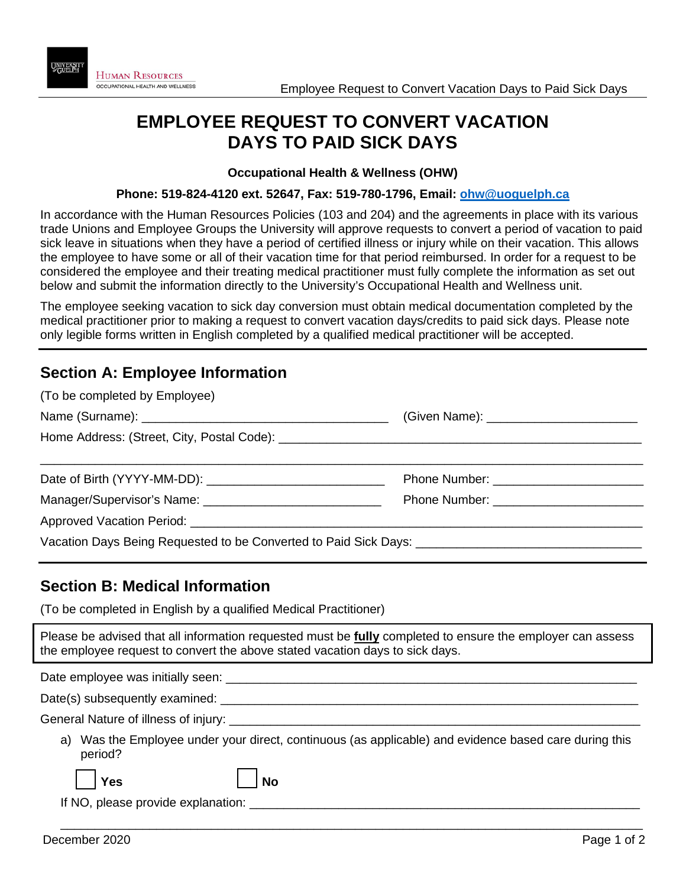# **EMPLOYEE REQUEST TO CONVERT VACATION DAYS TO PAID SICK DAYS**

### **Occupational Health & Wellness (OHW)**

#### **Phone: 519-824-4120 ext. 52647, Fax: 519-780-1796, Email: [ohw@uoguelph.ca](mailto:ohw@uoguelph.ca)**

In accordance with the Human Resources Policies (103 and 204) and the agreements in place with its various trade Unions and Employee Groups the University will approve requests to convert a period of vacation to paid sick leave in situations when they have a period of certified illness or injury while on their vacation. This allows the employee to have some or all of their vacation time for that period reimbursed. In order for a request to be considered the employee and their treating medical practitioner must fully complete the information as set out below and submit the information directly to the University's Occupational Health and Wellness unit.

The employee seeking vacation to sick day conversion must obtain medical documentation completed by the medical practitioner prior to making a request to convert vacation days/credits to paid sick days. Please note only legible forms written in English completed by a qualified medical practitioner will be accepted.

## **Section A: Employee Information**

| (To be completed by Employee)                                                                        |  |  |
|------------------------------------------------------------------------------------------------------|--|--|
|                                                                                                      |  |  |
|                                                                                                      |  |  |
|                                                                                                      |  |  |
|                                                                                                      |  |  |
|                                                                                                      |  |  |
| Vacation Days Being Requested to be Converted to Paid Sick Days: ___________________________________ |  |  |

## **Section B: Medical Information**

(To be completed in English by a qualified Medical Practitioner)

Please be advised that all information requested must be **fully** completed to ensure the employer can assess the employee request to convert the above stated vacation days to sick days.

| Date employee was initially seen:                                                                                |
|------------------------------------------------------------------------------------------------------------------|
| Date(s) subsequently examined:                                                                                   |
| General Nature of illness of injury: __________                                                                  |
| a) Was the Employee under your direct, continuous (as applicable) and evidence based care during this<br>period? |

\_\_\_\_\_\_\_\_\_\_\_\_\_\_\_\_\_\_\_\_\_\_\_\_\_\_\_\_\_\_\_\_\_\_\_\_\_\_\_\_\_\_\_\_\_\_\_\_\_\_\_\_\_\_\_\_\_\_\_\_\_\_\_\_\_\_\_\_\_\_\_\_\_\_\_\_\_\_\_\_\_\_\_\_\_

If NO, please provide explanation: \_\_\_\_\_\_\_\_\_\_\_\_\_\_\_\_\_\_\_\_\_\_\_\_\_\_\_\_\_\_\_\_\_\_\_\_\_\_\_\_\_\_\_\_\_\_\_\_\_\_\_\_\_\_\_\_\_

**No Yes** *No*